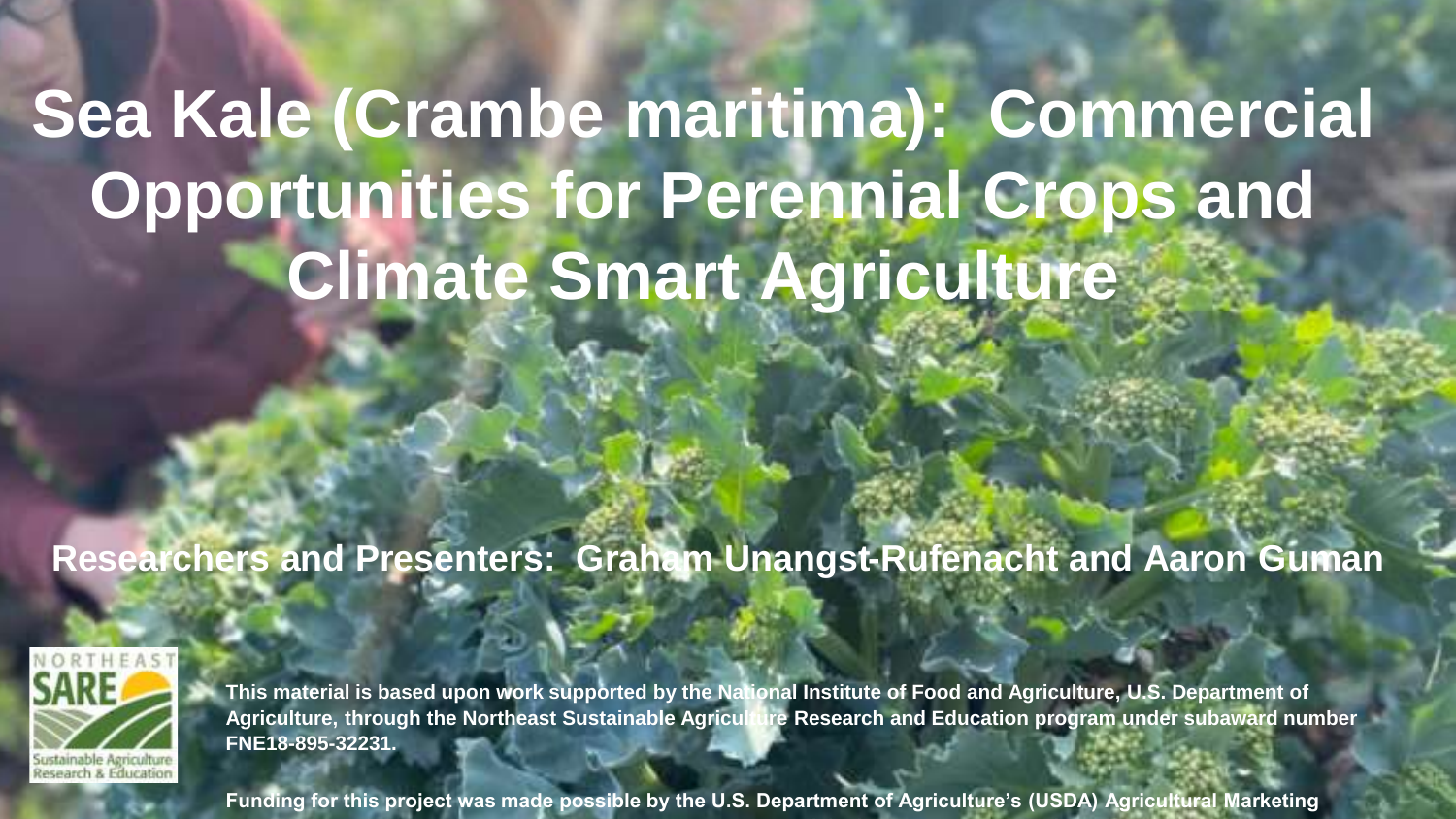## **Sea Kale (Crambe maritima): Commercial Opportunities for Perennial Crops and Climate Smart Agriculture**

**Researchers and Presenters: Graham Unangst-Rufenacht and Aaron Guman**



**This material is based upon work supported by the National Institute of Food and Agriculture, U.S. Department of Agriculture, through the Northeast Sustainable Agriculture Research and Education program under subaward number FNE18-895-32231.**

**Service through grant 02200-SCBGP-14-9. Its contents are solely the responsibility of the authors and do not necessarily** 

**Funding for this project was made possible by the U.S. Department of Agriculture's (USDA) Agricultural Marketing**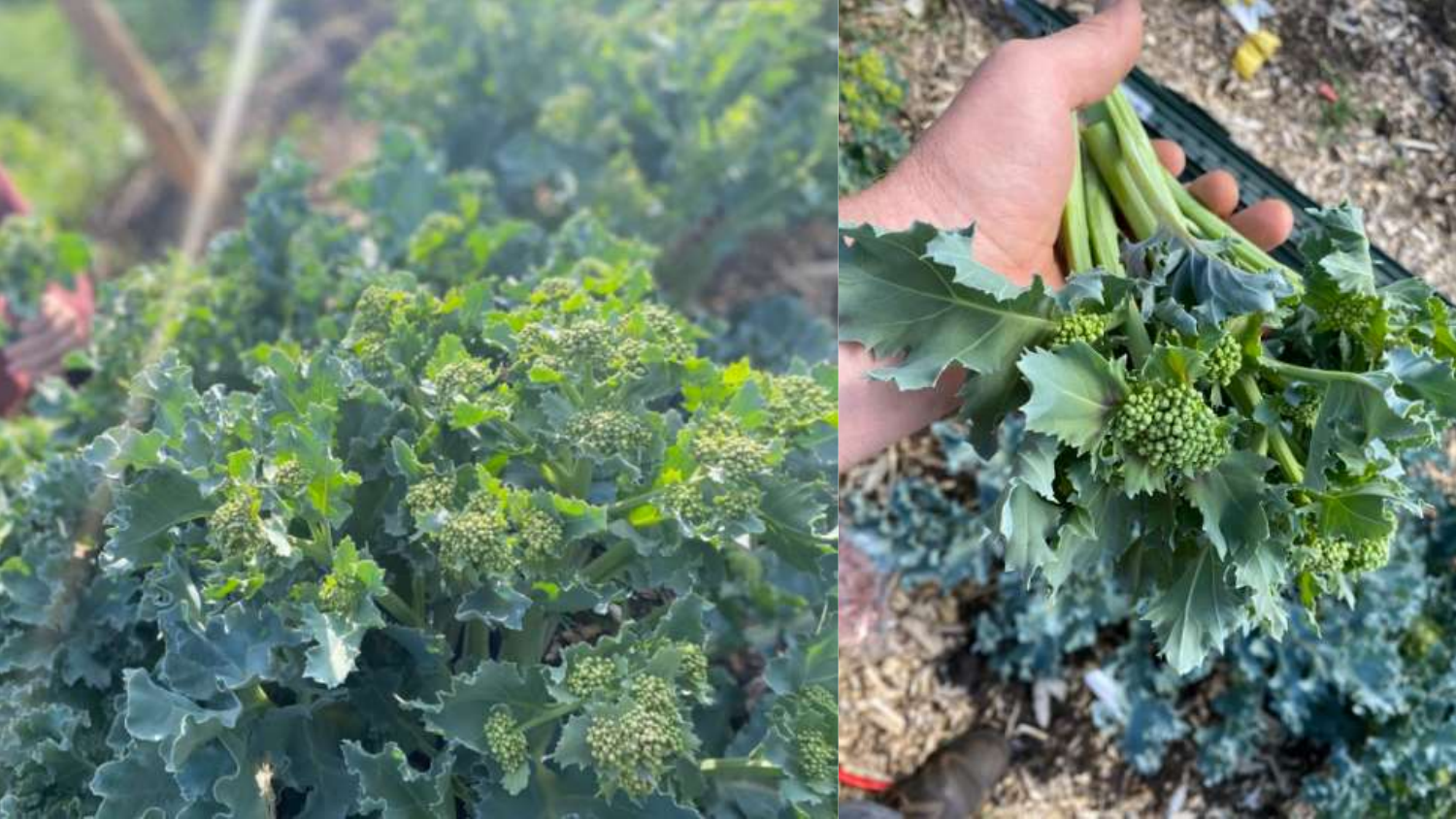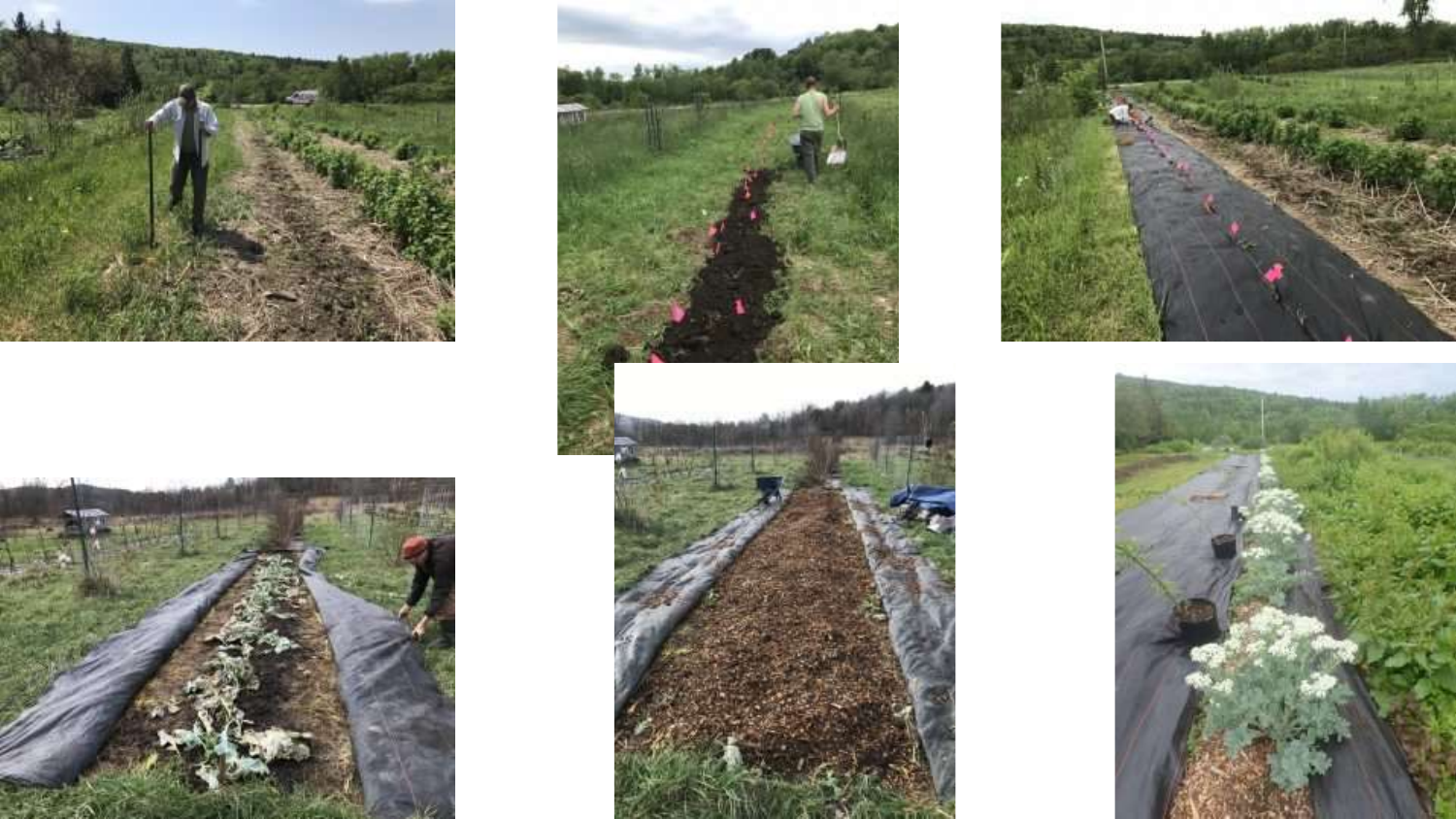







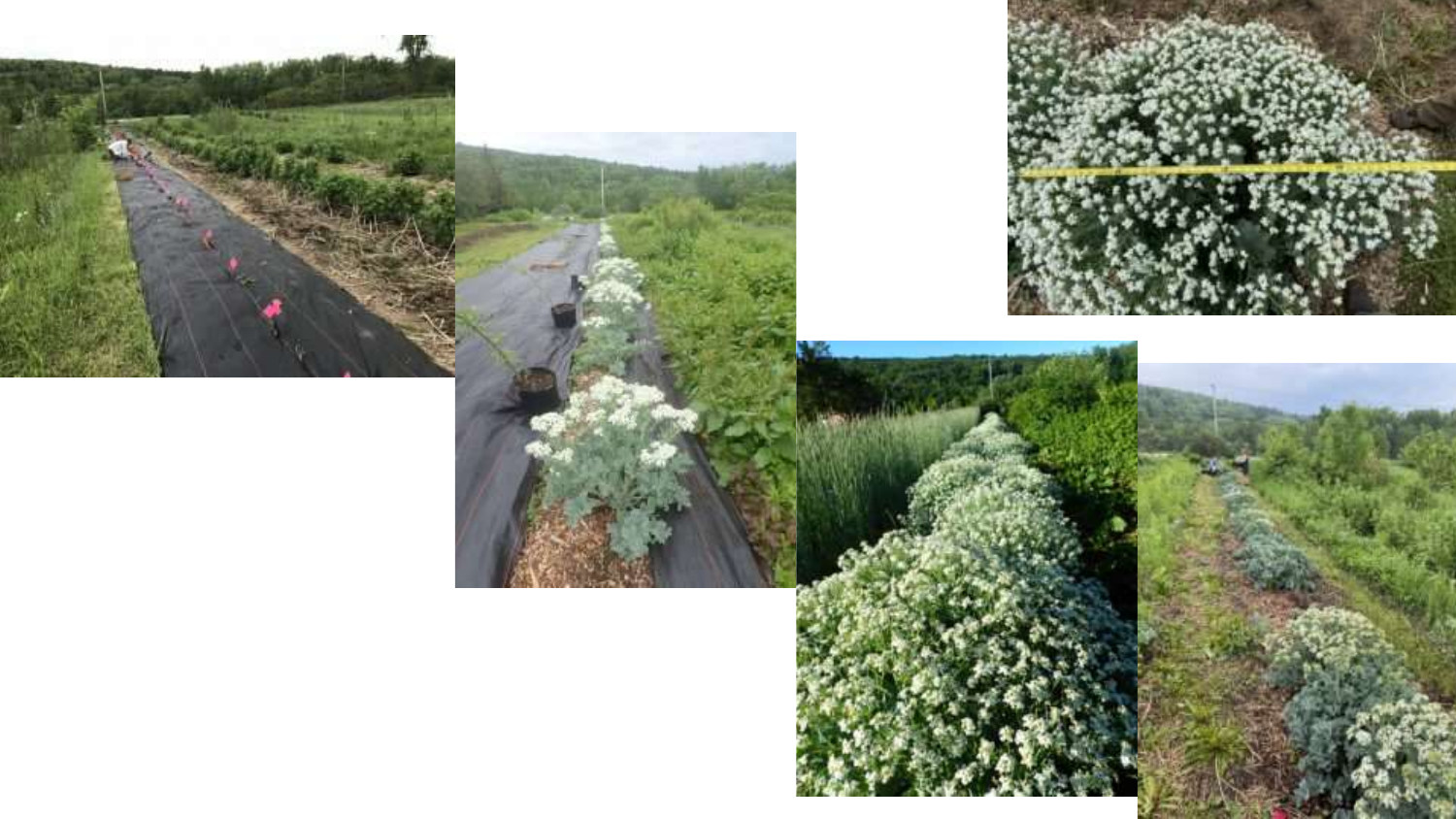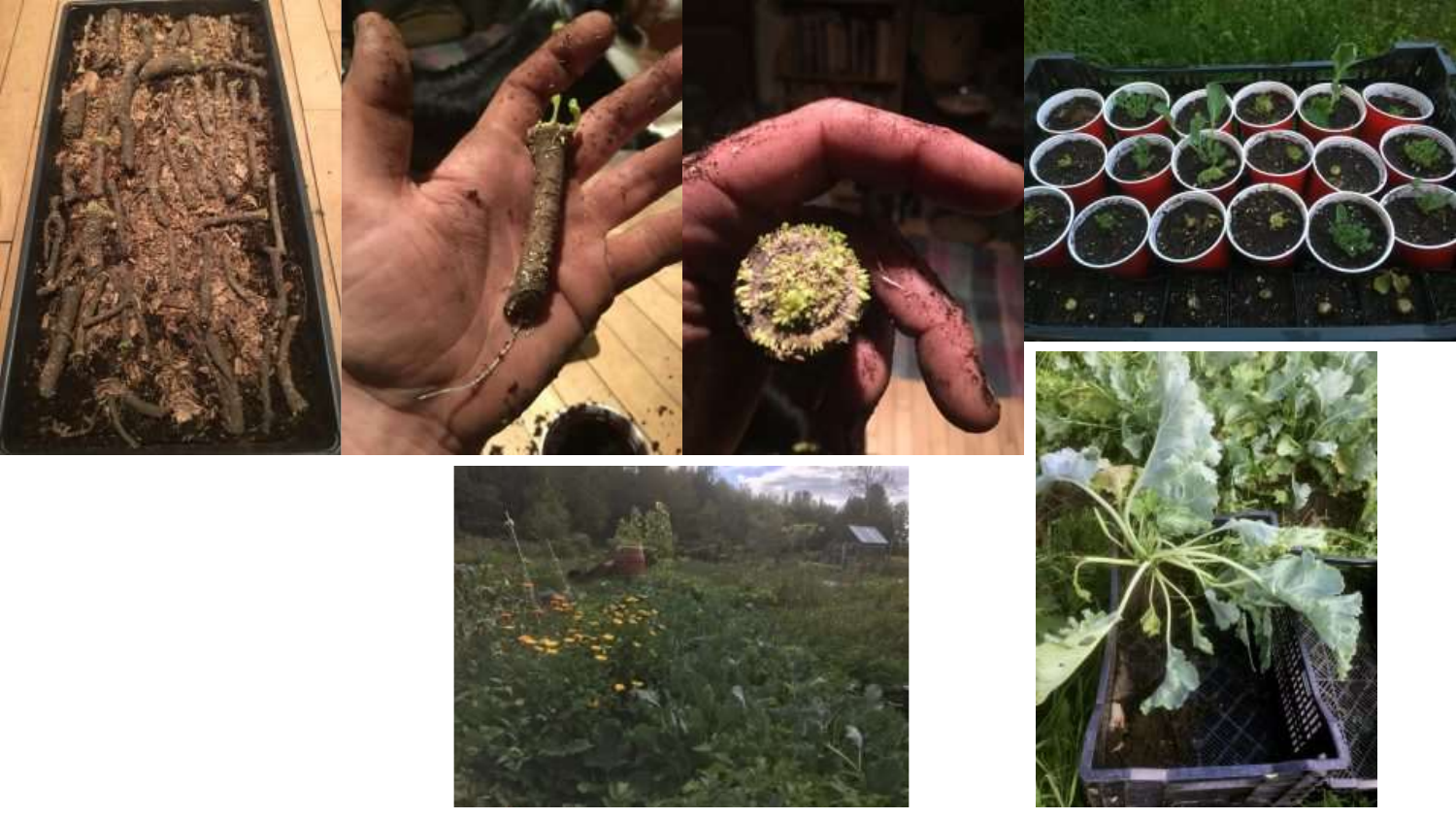





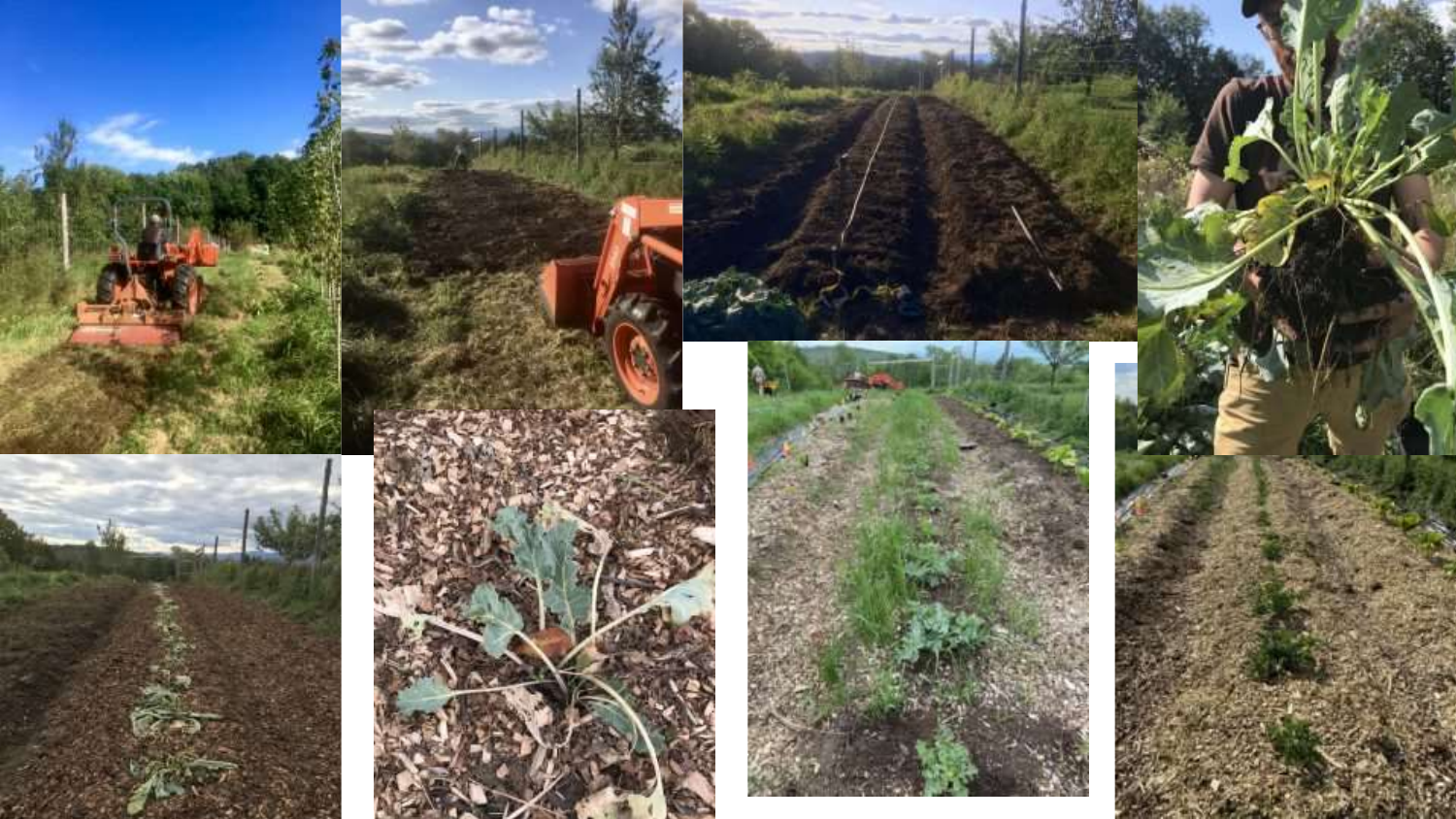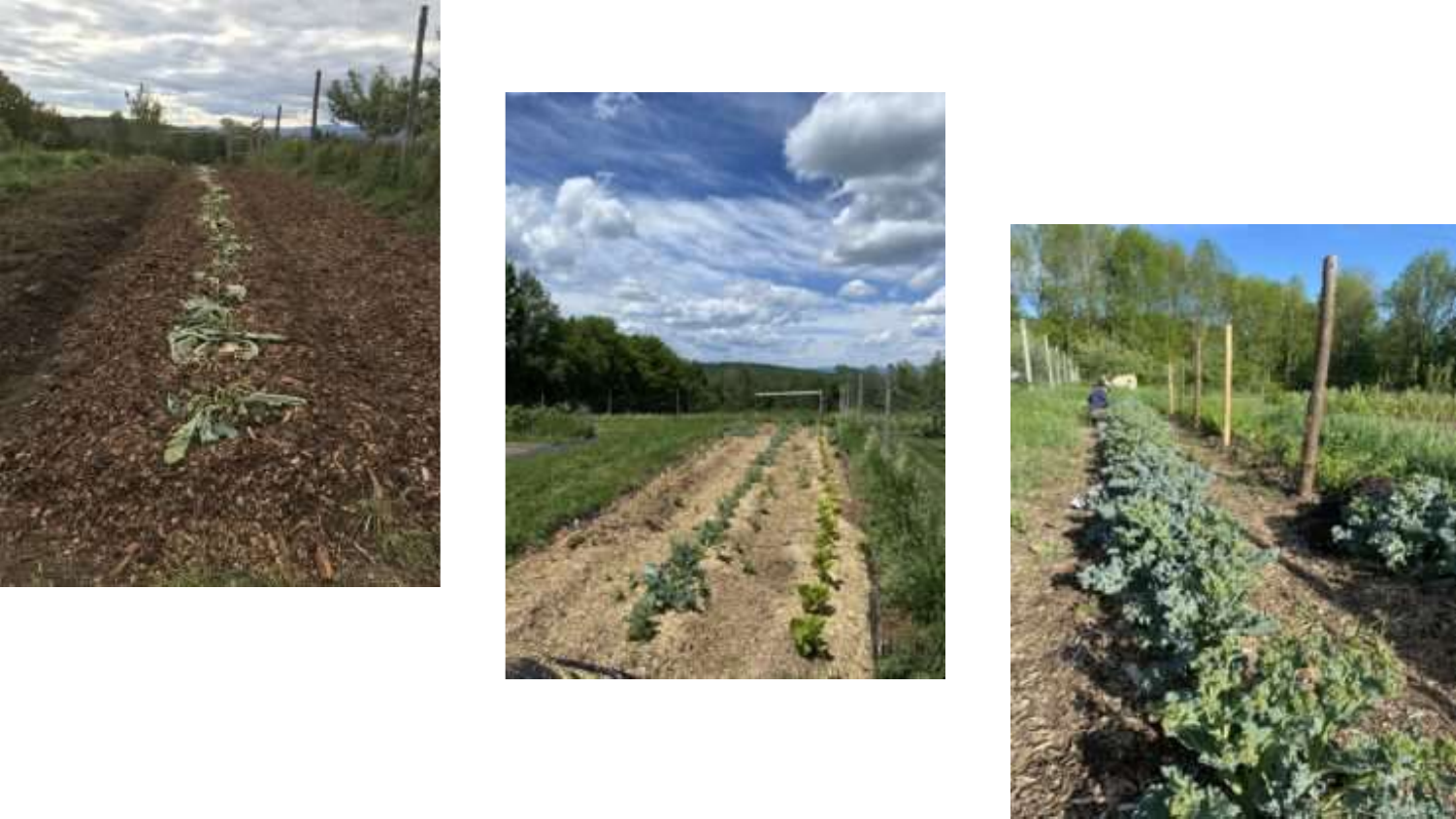



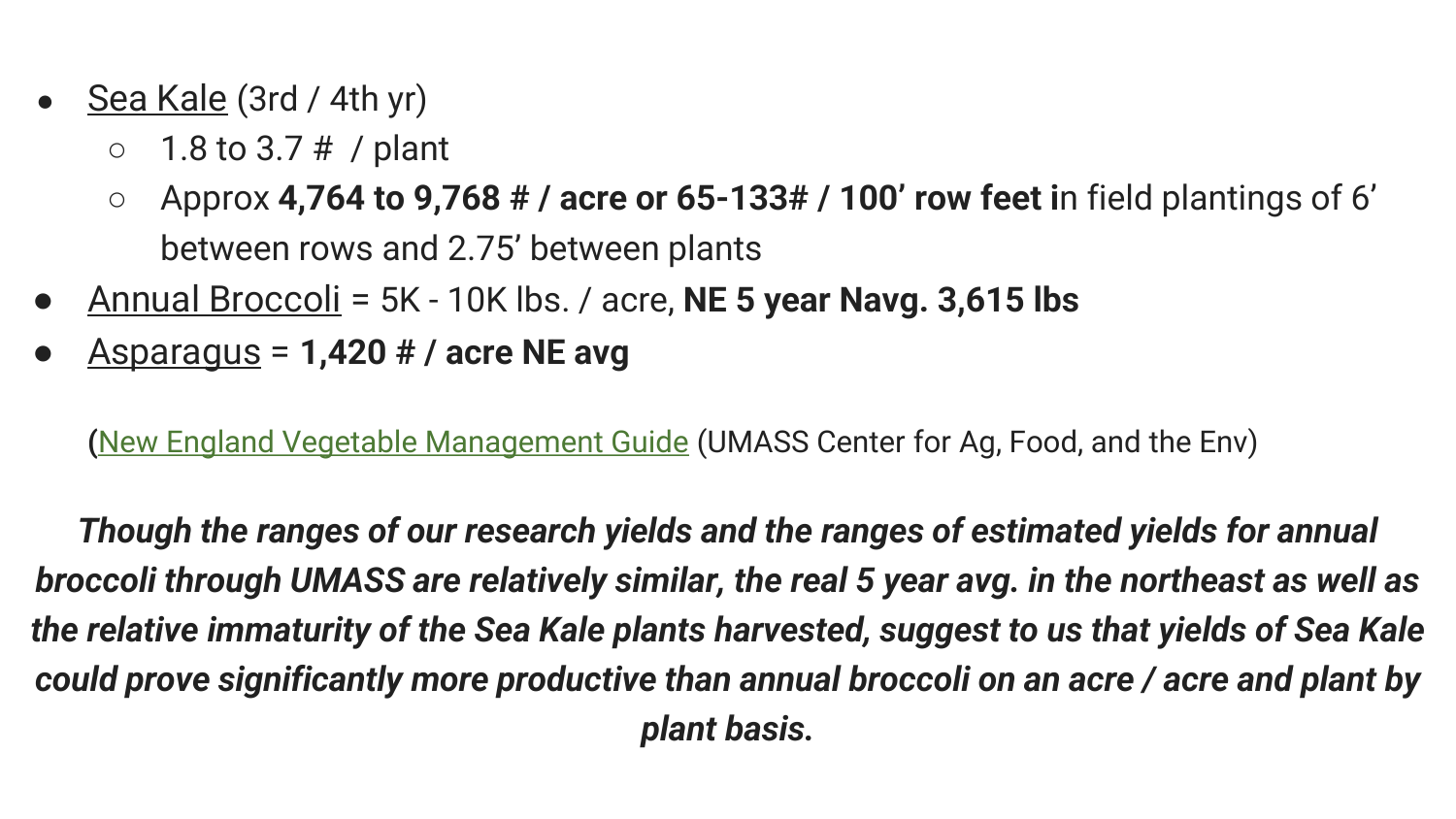- Sea Kale (3rd / 4th yr)
	- $\circ$  1.8 to 3.7 # / plant
	- Approx **4,764 to 9,768 # / acre or 65-133# / 100' row feet i**n field plantings of 6' between rows and 2.75' between plants
- Annual Broccoli = 5K 10K lbs. / acre, **NE 5 year Navg. 3,615 lbs**
- Asparagus = **1,420 # / acre NE avg**

**(**[New England Vegetable Management Guide](https://nevegetable.org/cultural-practices/table-15-approximate-yields) (UMASS Center for Ag, Food, and the Env)

*Though the ranges of our research yields and the ranges of estimated yields for annual broccoli through UMASS are relatively similar, the real 5 year avg. in the northeast as well as the relative immaturity of the Sea Kale plants harvested, suggest to us that yields of Sea Kale could prove significantly more productive than annual broccoli on an acre / acre and plant by plant basis.*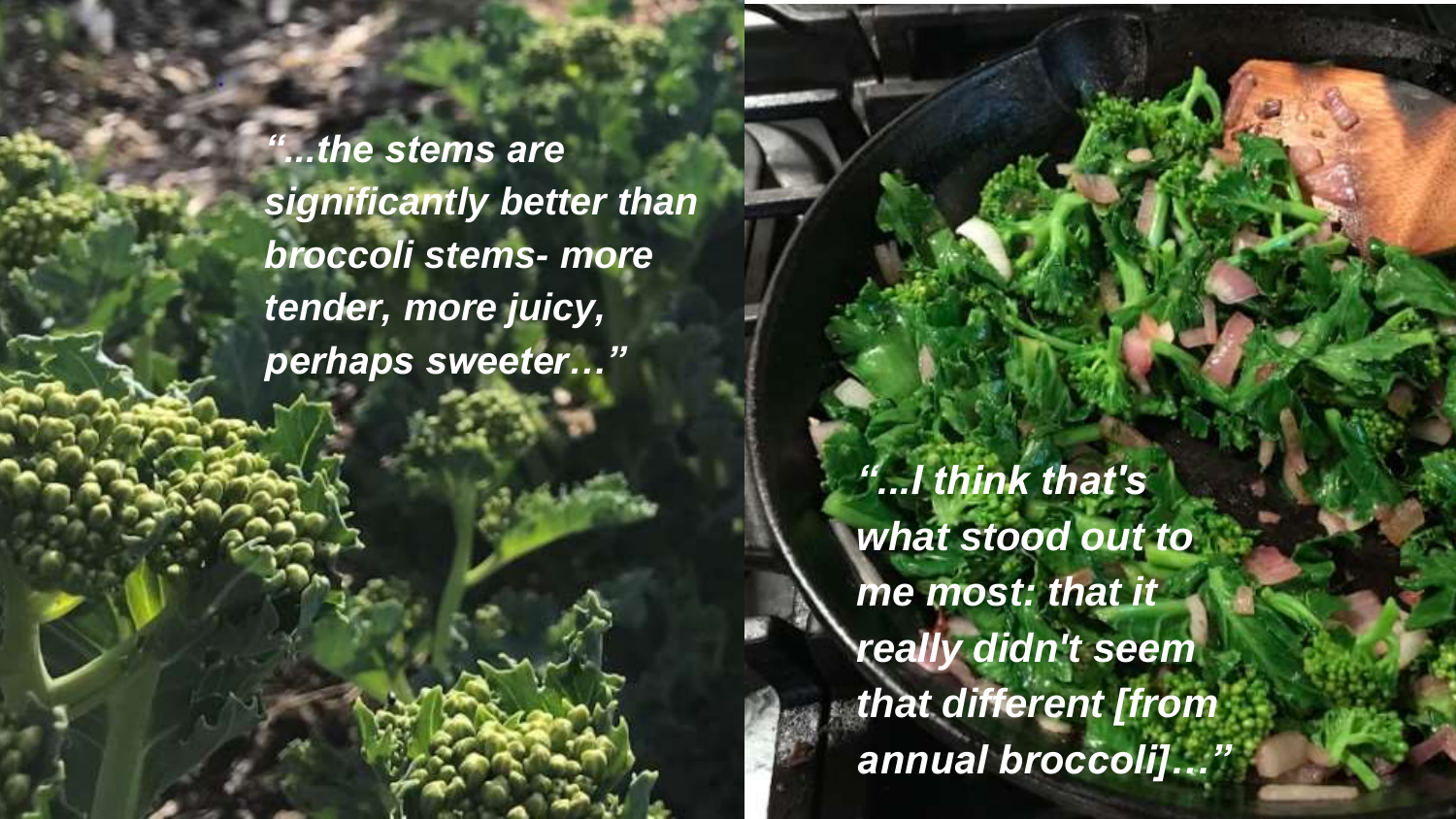*"...the stems are significantly better than broccoli stems- more tender, more juicy, perhaps sweeter…"*

> *"...I think that's what stood out to me most: that it really didn't seem that different [from annual broccoli]…"*